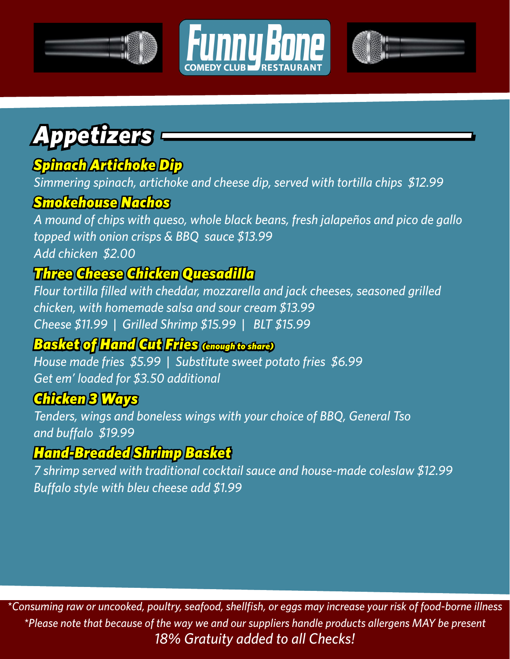





# *Appetizers*

# *Spinach Artichoke Dip*

*Simmering spinach, artichoke and cheese dip, served with tortilla chips \$12.99*

#### *Smokehouse Nachos*

*A mound of chips with queso, whole black beans, fresh jalapeños and pico de gallo topped with onion crisps & BBQ sauce \$13.99 Add chicken \$2.00*

## *Three Cheese Chicken Quesadilla*

*Flour tortilla filled with cheddar, mozzarella and jack cheeses, seasoned grilled chicken, with homemade salsa and sour cream \$13.99 Cheese \$11.99 | Grilled Shrimp \$15.99 | BLT \$15.99*

#### *Basket of Hand Cut Fries (enough to share)*

*House made fries \$5.99 | Substitute sweet potato fries \$6.99 Get em' loaded for \$3.50 additional*

#### *Chicken 3 Ways*

*Tenders, wings and boneless wings with your choice of BBQ, General Tso and buffalo \$19.99* 

#### *Hand-Breaded Shrimp Basket*

*7 shrimp served with traditional cocktail sauce and house-made coleslaw \$12.99 Buffalo style with bleu cheese add \$1.99*

*\*Consuming raw or uncooked, poultry, seafood, shellfish, or eggs may increase your risk of food-borne illness \*Please note that because of the way we and our suppliers handle products allergens MAY be present 18% Gratuity added to all Checks!*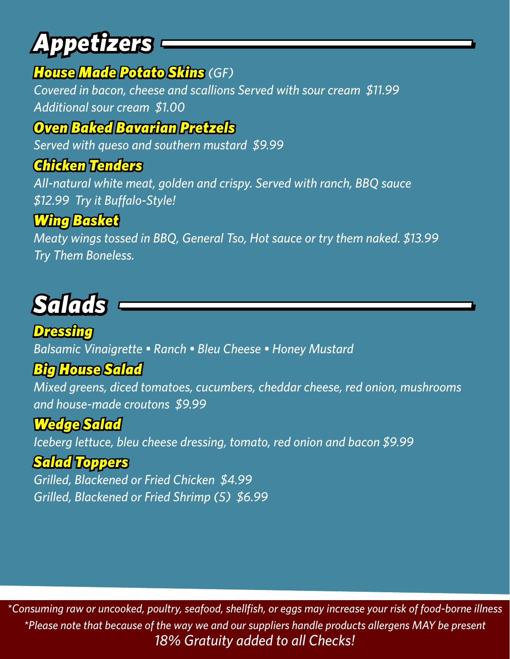# *Appetizers*

### *House Made Potato Skins (GF)*

*Covered in bacon, cheese and scallions Served with sour cream \$11.99 Additional sour cream \$1.00*

## *Oven Baked Bavarian Pretzels*

*Served with queso and southern mustard \$9.99*

#### *Chicken Tenders*

*All-natural white meat, golden and crispy. Served with ranch, BBQ sauce \$12.99 Try it Buffalo-Style!* 

## *Wing Basket*

*Meaty wings tossed in BBQ, General Tso, Hot sauce or try them naked. \$13.99 Try Them Boneless.* 

# *Salads*

*Dressing Balsamic Vinaigrette • Ranch • Bleu Cheese • Honey Mustard*

### *Big House Salad*

*Mixed greens, diced tomatoes, cucumbers, cheddar cheese, red onion, mushrooms and house-made croutons \$9.99*

### *Wedge Salad*

*Iceberg lettuce, bleu cheese dressing, tomato, red onion and bacon \$9.99*

### *Salad Toppers*

*Grilled, Blackened or Fried Chicken \$4.99 Grilled, Blackened or Fried Shrimp (5) \$6.99*

*\*Consuming raw or uncooked, poultry, seafood, shellfish, or eggs may increase your risk of food-borne illness \*Please note that because of the way we and our suppliers handle products allergens MAY be present 18% Gratuity added to all Checks!*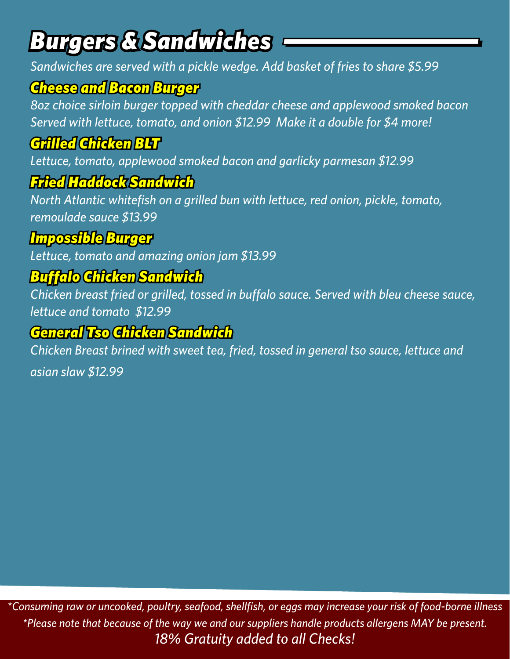# *Burgers & Sandwiches*

*Sandwiches are served with a pickle wedge. Add basket of fries to share \$5.99*

## *Cheese and Bacon Burger*

*8oz choice sirloin burger topped with cheddar cheese and applewood smoked bacon Served with lettuce, tomato, and onion \$12.99 Make it a double for \$4 more!*

# *Grilled Chicken BLT*

*Lettuce, tomato, applewood smoked bacon and garlicky parmesan \$12.99*

## *Fried Haddock Sandwich*

*North Atlantic whitefish on a grilled bun with lettuce, red onion, pickle, tomato, remoulade sauce \$13.99*

## *Impossible Burger*

*Lettuce, tomato and amazing onion jam \$13.99*

# *Buffalo Chicken Sandwich*

*Chicken breast fried or grilled, tossed in buffalo sauce. Served with bleu cheese sauce, lettuce and tomato \$12.99*

## *General Tso Chicken Sandwich*

*Chicken Breast brined with sweet tea, fried, tossed in general tso sauce, lettuce and* 

*asian slaw \$12.99*

*\*Consuming raw or uncooked, poultry, seafood, shellfish, or eggs may increase your risk of food-borne illness \*Please note that because of the way we and our suppliers handle products allergens MAY be present. 18% Gratuity added to all Checks!*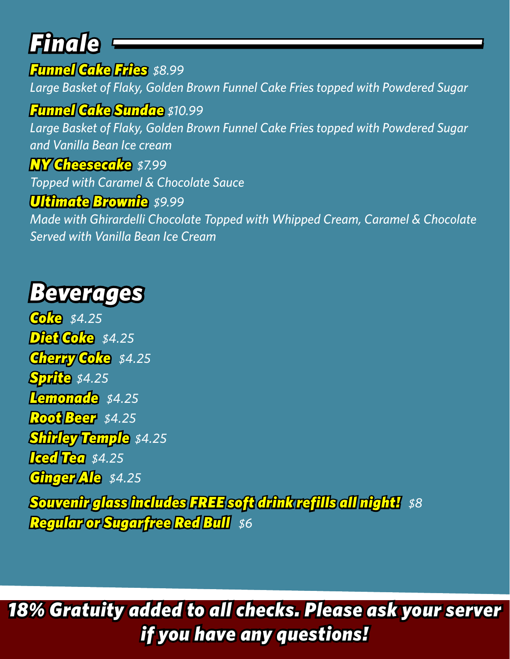# *Finale*

*Funnel Cake Fries \$8.99 Large Basket of Flaky, Golden Brown Funnel Cake Fries topped with Powdered Sugar*

### *Funnel Cake Sundae \$10.99*

*Large Basket of Flaky, Golden Brown Funnel Cake Fries topped with Powdered Sugar and Vanilla Bean Ice cream*

#### *NY Cheesecake \$7.99*

*Topped with Caramel & Chocolate Sauce*

#### *Ultimate Brownie \$9.99*

*Made with Ghirardelli Chocolate Topped with Whipped Cream, Caramel & Chocolate Served with Vanilla Bean Ice Cream*

# *Beverages*

*Coke \$4.25 Diet Coke \$4.25 Cherry Coke \$4.25 Sprite \$4.25 Lemonade \$4.25 Root Beer \$4.25 Shirley Temple \$4.25 Iced Tea \$4.25 Ginger Ale \$4.25 Souvenir glass includes FREE soft drink refills all night! \$8 Regular or Sugarfree Red Bull \$6*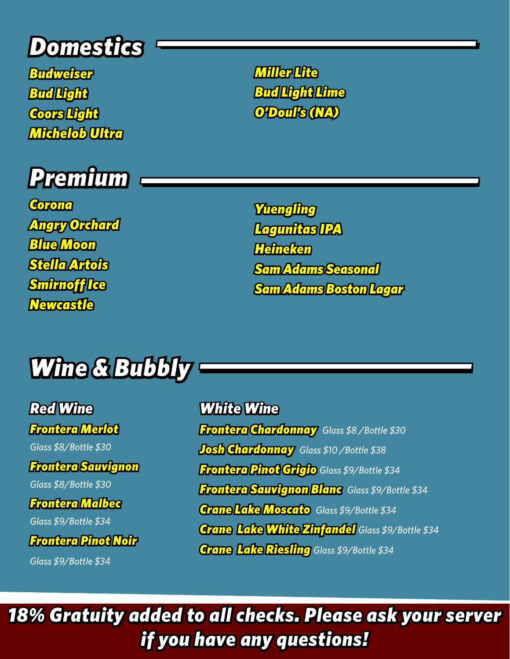# *Domestics*

*Budweiser Bud Light Coors Light Michelob Ultra* 



*Corona Angry Orchard Blue Moon Stella Artois Smirnoff Ice Newcastle*

*Miller Lite Bud Light Lime O'Doul's (NA)* 

*Yuengling Lagunitas IPA Heineken Sam Adams Seasonal Sam Adams Boston Lagar*

# *Wine & Bubbly*

*Red Wine Frontera Merlot* 

*Glass \$8/Bottle \$30*

*Frontera Sauvignon* 

*Glass \$8/Bottle \$30*

*Frontera Malbec* 

*Glass \$9/Bottle \$34*

*Frontera Pinot Noir* 

*Glass \$9/Bottle \$34*

*White Wine Frontera Chardonnay Glass \$8 /Bottle \$30 Josh Chardonnay Glass \$10 /Bottle \$38 Frontera Pinot Grigio Glass \$9/Bottle \$34 Frontera Sauvignon Blanc Glass \$9/Bottle \$34 Crane Lake Moscato Glass \$9/Bottle \$34 Crane Lake White Zinfandel Glass \$9/Bottle \$34 Crane Lake Riesling Glass \$9/Bottle \$34*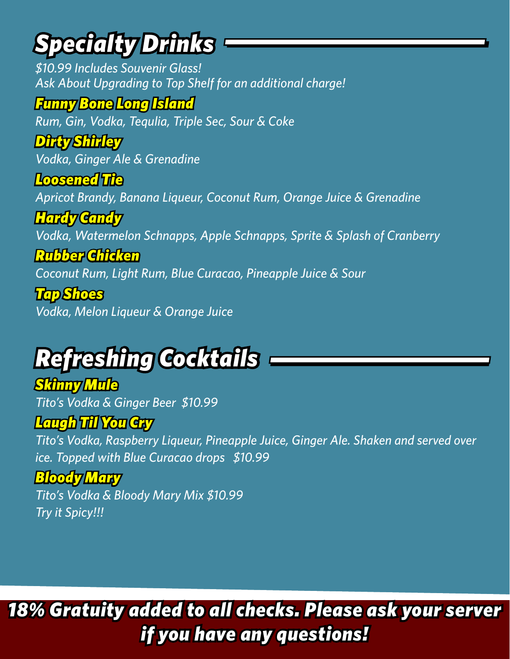# *Specialty Drinks*

*\$10.99 Includes Souvenir Glass! Ask About Upgrading to Top Shelf for an additional charge!*

## *Funny Bone Long Island*

*Rum, Gin, Vodka, Tequlia, Triple Sec, Sour & Coke*

# *Dirty Shirley*

*Vodka, Ginger Ale & Grenadine*

### *Loosened Tie*

*Apricot Brandy, Banana Liqueur, Coconut Rum, Orange Juice & Grenadine*

## *Hardy Candy*

*Vodka, Watermelon Schnapps, Apple Schnapps, Sprite & Splash of Cranberry*

### *Rubber Chicken*

*Coconut Rum, Light Rum, Blue Curacao, Pineapple Juice & Sour*

# *Tap Shoes*

*Vodka, Melon Liqueur & Orange Juice*

### *Refreshing Cocktails Refreshing Cocktails*

#### *Skinny Mule Tito's Vodka & Ginger Beer \$10.99*

# *Laugh Til You Cry*

*Tito's Vodka, Raspberry Liqueur, Pineapple Juice, Ginger Ale. Shaken and served over ice. Topped with Blue Curacao drops \$10.99*

### *Bloody Mary*

*Tito's Vodka & Bloody Mary Mix \$10.99 Try it Spicy!!!*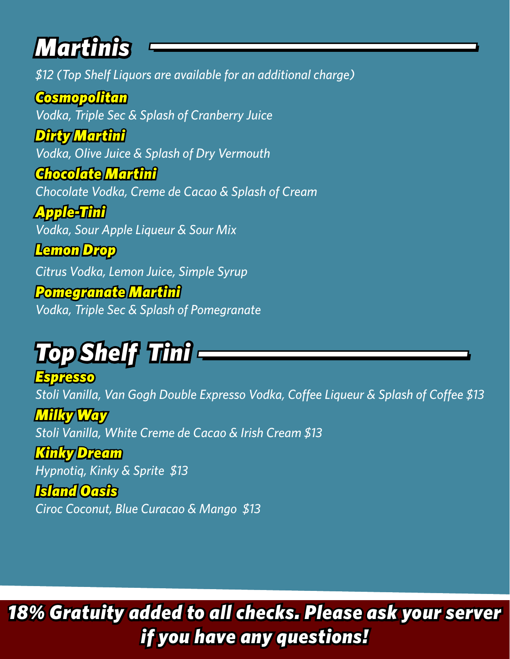# *Martinis*

*\$12 (Top Shelf Liquors are available for an additional charge)*

*Cosmopolitan Vodka, Triple Sec & Splash of Cranberry Juice* 

*Dirty Martini Vodka, Olive Juice & Splash of Dry Vermouth*

*Chocolate Martini Chocolate Vodka, Creme de Cacao & Splash of Cream* 

*Apple-Tini Vodka, Sour Apple Liqueur & Sour Mix* 

*Lemon Drop*

*Citrus Vodka, Lemon Juice, Simple Syrup*

*Pomegranate Martini Vodka, Triple Sec & Splash of Pomegranate*

# *Top Shelf Tini*

*Espresso Stoli Vanilla, Van Gogh Double Expresso Vodka, Coffee Liqueur & Splash of Coffee \$13*

*Milky Way Stoli Vanilla, White Creme de Cacao & Irish Cream \$13*

*Kinky Dream*

*Hypnotiq, Kinky & Sprite \$13*

#### *Island Oasis*

*Ciroc Coconut, Blue Curacao & Mango \$13*